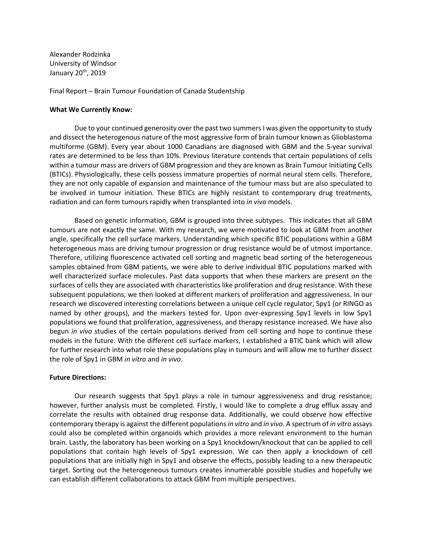Alexander Rodzinka University of Windsor January 20th, 2019

Final Report – Brain Tumour Foundation of Canada Studentship

## **What We Currently Know:**

Due to your continued generosity over the past two summers I was given the opportunity to study and dissect the heterogenous nature of the most aggressive form of brain tumour known as Glioblastoma multiforme (GBM). Every year about 1000 Canadians are diagnosed with GBM and the 5-year survival rates are determined to be less than 10%. Previous literature contends that certain populations of cells within a tumour mass are drivers of GBM progression and they are known as Brain Tumour Initiating Cells (BTICs). Physiologically, these cells possess immature properties of normal neural stem cells. Therefore, they are not only capable of expansion and maintenance of the tumour mass but are also speculated to be involved in tumour initiation. These BTICs are highly resistant to contemporary drug treatments, radiation and can form tumours rapidly when transplanted into *in vivo* models.

Based on genetic information, GBM is grouped into three subtypes. This indicates that all GBM tumours are not exactly the same. With my research, we were motivated to look at GBM from another angle, specifically the cell surface markers. Understanding which specific BTIC populations within a GBM heterogeneous mass are driving tumour progression or drug resistance would be of utmost importance. Therefore, utilizing fluorescence activated cell sorting and magnetic bead sorting of the heterogeneous samples obtained from GBM patients, we were able to derive individual BTIC populations marked with well characterized surface molecules. Past data supports that when these markers are present on the surfaces of cells they are associated with characteristics like proliferation and drug resistance. With these subsequent populations, we then looked at different markers of proliferation and aggressiveness. In our research we discovered interesting correlations between a unique cell cycle regulator, Spy1 (or RINGO as named by other groups), and the markers tested for. Upon over-expressing Spy1 levels in low Spy1 populations we found that proliferation, aggressiveness, and therapy resistance increased. We have also begun *in vivo* studies of the certain populations derived from cell sorting and hope to continue these models in the future. With the different cell surface markers, I established a BTIC bank which will allow for further research into what role these populations play in tumours and will allow me to further dissect the role of Spy1 in GBM *in vitro* and *in vivo*.

## **Future Directions:**

Our research suggests that Spy1 plays a role in tumour aggressiveness and drug resistance; however, further analysis must be completed. Firstly, I would like to complete a drug efflux assay and correlate the results with obtained drug response data. Additionally, we could observe how effective contemporary therapy is against the different populations *in vitro* and *in vivo*. A spectrum of *in vitro* assays could also be completed within organoids which provides a more relevant environment to the human brain. Lastly, the laboratory has been working on a Spy1 knockdown/knockout that can be applied to cell populations that contain high levels of Spy1 expression. We can then apply a knockdown of cell populations that are initially high in Spy1 and observe the effects, possibly leading to a new therapeutic target. Sorting out the heterogeneous tumours creates innumerable possible studies and hopefully we can establish different collaborations to attack GBM from multiple perspectives.